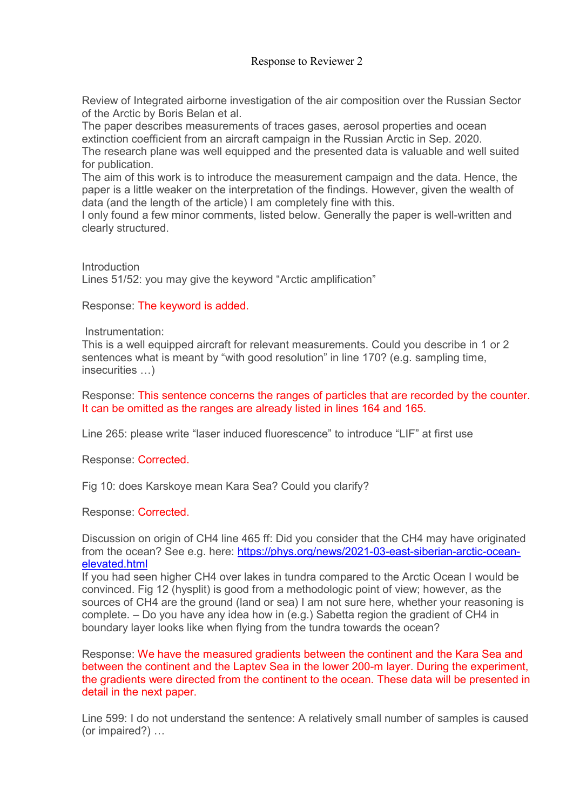## Response to Reviewer 2

Review of Integrated airborne investigation of the air composition over the Russian Sector of the Arctic by Boris Belan et al.

The paper describes measurements of traces gases, aerosol properties and ocean extinction coefficient from an aircraft campaign in the Russian Arctic in Sep. 2020. The research plane was well equipped and the presented data is valuable and well suited for publication.

The aim of this work is to introduce the measurement campaign and the data. Hence, the paper is a little weaker on the interpretation of the findings. However, given the wealth of data (and the length of the article) I am completely fine with this.

I only found a few minor comments, listed below. Generally the paper is well-written and clearly structured.

**Introduction** Lines 51/52: you may give the keyword "Arctic amplification"

Response: The keyword is added.

Instrumentation:

This is a well equipped aircraft for relevant measurements. Could you describe in 1 or 2 sentences what is meant by "with good resolution" in line 170? (e.g. sampling time, insecurities …)

Response: This sentence concerns the ranges of particles that are recorded by the counter. It can be omitted as the ranges are already listed in lines 164 and 165.

Line 265: please write "laser induced fluorescence" to introduce "LIF" at first use

Response: Corrected.

Fig 10: does Karskoye mean Kara Sea? Could you clarify?

Response: Corrected.

Discussion on origin of CH4 line 465 ff: Did you consider that the CH4 may have originated from the ocean? See e.g. here: https://phys.org/news/2021-03-east-siberian-arctic-oceanelevated.html

If you had seen higher CH4 over lakes in tundra compared to the Arctic Ocean I would be convinced. Fig 12 (hysplit) is good from a methodologic point of view; however, as the sources of CH4 are the ground (land or sea) I am not sure here, whether your reasoning is complete. – Do you have any idea how in (e.g.) Sabetta region the gradient of CH4 in boundary layer looks like when flying from the tundra towards the ocean?

Response: We have the measured gradients between the continent and the Kara Sea and between the continent and the Laptev Sea in the lower 200-m layer. During the experiment, the gradients were directed from the continent to the ocean. These data will be presented in detail in the next paper.

Line 599: I do not understand the sentence: A relatively small number of samples is caused (or impaired?) …